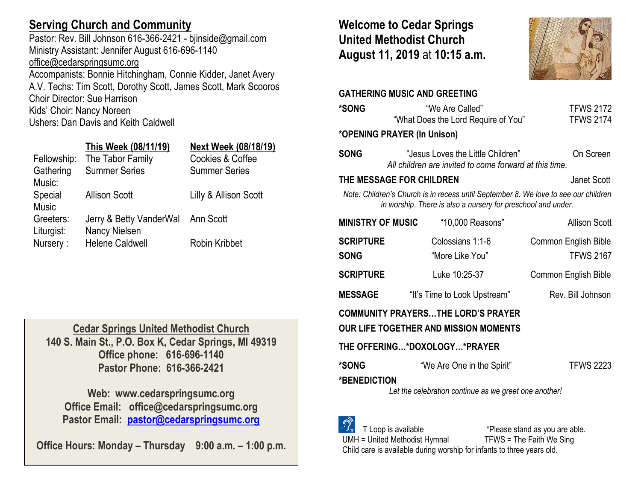## **Serving Church and Community**

Pastor: Rev. Bill Johnson 616-366-2421 - bjinside@gmail.com Ministry Assistant: Jennifer August 616-696-1140 [office@cedarspringsumc.org](mailto:office@cedarspringsumc.org) Accompanists: Bonnie Hitchingham, Connie Kidder, Janet Avery A.V. Techs: Tim Scott, Dorothy Scott, James Scott, Mark Scooros Choir Director: Sue Harrison Kids' Choir: Nancy Noreen

Ushers: Dan Davis and Keith Caldwell

## **This Week (08/11/19) Next Week (08/18/19)**

| Cookies & Coffee      |
|-----------------------|
| <b>Summer Series</b>  |
|                       |
| Lilly & Allison Scott |
|                       |
|                       |
|                       |
|                       |
|                       |

**Cedar Springs United Methodist Church 140 S. Main St., P.O. Box K, Cedar Springs, MI 49319 Office phone: 616-696-1140 Pastor Phone: 616-366-2421**

**Web: www.cedarspringsumc.org Office Email: office@cedarspringsumc.org Pastor Email: [pastor@cedarspringsumc.org](mailto:pastor@cedarspringsumc.org)**

**Office Hours: Monday – Thursday 9:00 a.m. – 1:00 p.m.**

## **Welcome to Cedar Springs United Methodist Church August 11, 2019** at **10:15 a.m.**



**GATHERING MUSIC AND GREETING \*SONG** "We Are Called"TFWS 2172 "What Does the Lord Require of You" TFWS 2174 **\*OPENING PRAYER (In Unison) SONG** "Jesus Loves the Little Children" On Screen *All children are invited to come forward at this time.* **THE MESSAGE FOR CHILDREN** Janet Scott *Note: Children's Church is in recess until September 8. We love to see our children in worship. There is also a nursery for preschool and under.*  **MINISTRY OF MUSIC** "10,000 Reasons"Allison Scott **SCRIPTURE** Colossians 1:1-6 Common English Bible **SONG** "More Like You" TFWS 2167 **SCRIPTURE** Luke 10:25-37 Common English Bible **MESSAGE** "It's Time to Look Upstream" Rev. Bill Johnson **COMMUNITY PRAYERS…THE LORD'S PRAYER OUR LIFE TOGETHER AND MISSION MOMENTS THE OFFERING…\*DOXOLOGY…\*PRAYER \*SONG** "We Are One in the Spirit" TFWS 2223 **\*BENEDICTION** *Let the celebration continue as we greet one another!*

T Loop is available  $*$ Please stand as you are able.<br>= United Methodist Hymnal TFWS = The Faith We Sing  $UMH = United Method$  Methodist Hymnal Child care is available during worship for infants to three years old.